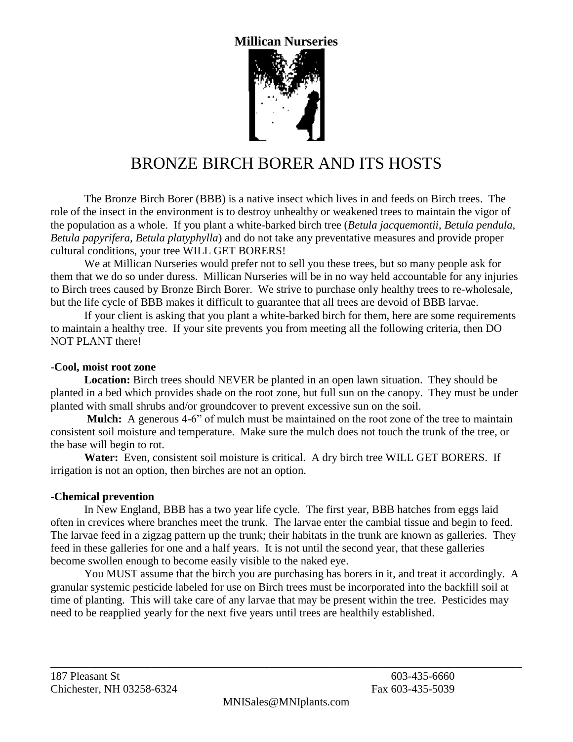## **Millican Nurseries**



# BRONZE BIRCH BORER AND ITS HOSTS

The Bronze Birch Borer (BBB) is a native insect which lives in and feeds on Birch trees. The role of the insect in the environment is to destroy unhealthy or weakened trees to maintain the vigor of the population as a whole. If you plant a white-barked birch tree (*Betula jacquemontii*, *Betula pendula*, *Betula papyrifera, Betula platyphylla*) and do not take any preventative measures and provide proper cultural conditions, your tree WILL GET BORERS!

We at Millican Nurseries would prefer not to sell you these trees, but so many people ask for them that we do so under duress. Millican Nurseries will be in no way held accountable for any injuries to Birch trees caused by Bronze Birch Borer. We strive to purchase only healthy trees to re-wholesale, but the life cycle of BBB makes it difficult to guarantee that all trees are devoid of BBB larvae.

If your client is asking that you plant a white-barked birch for them, here are some requirements to maintain a healthy tree. If your site prevents you from meeting all the following criteria, then DO NOT PLANT there!

#### -**Cool, moist root zone**

**Location:** Birch trees should NEVER be planted in an open lawn situation. They should be planted in a bed which provides shade on the root zone, but full sun on the canopy. They must be under planted with small shrubs and/or groundcover to prevent excessive sun on the soil.

**Mulch:** A generous 4-6" of mulch must be maintained on the root zone of the tree to maintain consistent soil moisture and temperature. Make sure the mulch does not touch the trunk of the tree, or the base will begin to rot.

**Water:** Even, consistent soil moisture is critical. A dry birch tree WILL GET BORERS. If irrigation is not an option, then birches are not an option.

#### -**Chemical prevention**

In New England, BBB has a two year life cycle. The first year, BBB hatches from eggs laid often in crevices where branches meet the trunk. The larvae enter the cambial tissue and begin to feed. The larvae feed in a zigzag pattern up the trunk; their habitats in the trunk are known as galleries. They feed in these galleries for one and a half years. It is not until the second year, that these galleries become swollen enough to become easily visible to the naked eye.

You MUST assume that the birch you are purchasing has borers in it, and treat it accordingly. A granular systemic pesticide labeled for use on Birch trees must be incorporated into the backfill soil at time of planting. This will take care of any larvae that may be present within the tree. Pesticides may need to be reapplied yearly for the next five years until trees are healthily established.

\_\_\_\_\_\_\_\_\_\_\_\_\_\_\_\_\_\_\_\_\_\_\_\_\_\_\_\_\_\_\_\_\_\_\_\_\_\_\_\_\_\_\_\_\_\_\_\_\_\_\_\_\_\_\_\_\_\_\_\_\_\_\_\_\_\_\_\_\_\_\_\_\_\_\_\_\_\_\_\_\_\_\_\_